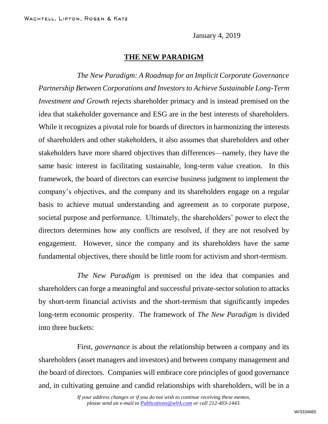January 4, 2019

#### **THE NEW PARADIGM**

*The New Paradigm: A Roadmap for an Implicit Corporate Governance Partnership Between Corporations and Investors to Achieve Sustainable Long-Term Investment and Growth* rejects shareholder primacy and is instead premised on the idea that stakeholder governance and ESG are in the best interests of shareholders. While it recognizes a pivotal role for boards of directors in harmonizing the interests of shareholders and other stakeholders, it also assumes that shareholders and other stakeholders have more shared objectives than differences—namely, they have the same basic interest in facilitating sustainable, long-term value creation. In this framework, the board of directors can exercise business judgment to implement the company's objectives, and the company and its shareholders engage on a regular basis to achieve mutual understanding and agreement as to corporate purpose, societal purpose and performance. Ultimately, the shareholders' power to elect the directors determines how any conflicts are resolved, if they are not resolved by engagement. However, since the company and its shareholders have the same fundamental objectives, there should be little room for activism and short-termism.

*The New Paradigm* is premised on the idea that companies and shareholders can forge a meaningful and successful private-sector solution to attacks by short-term financial activists and the short-termism that significantly impedes long-term economic prosperity. The framework of *The New Paradigm* is divided into three buckets:

First, *governance* is about the relationship between a company and its shareholders (asset managers and investors) and between company management and the board of directors. Companies will embrace core principles of good governance and, in cultivating genuine and candid relationships with shareholders, will be in a

*If your address changes or if you do not wish to continue receiving these memos, please send an e-mail to [Publications@wlrk.com](mailto:Publications@wlrk.com) or call 212-403-1443.*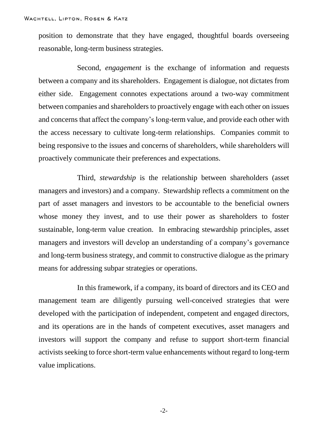position to demonstrate that they have engaged, thoughtful boards overseeing reasonable, long-term business strategies.

Second, *engagement* is the exchange of information and requests between a company and its shareholders. Engagement is dialogue, not dictates from either side. Engagement connotes expectations around a two-way commitment between companies and shareholders to proactively engage with each other on issues and concerns that affect the company's long-term value, and provide each other with the access necessary to cultivate long-term relationships. Companies commit to being responsive to the issues and concerns of shareholders, while shareholders will proactively communicate their preferences and expectations.

Third, *stewardship* is the relationship between shareholders (asset managers and investors) and a company. Stewardship reflects a commitment on the part of asset managers and investors to be accountable to the beneficial owners whose money they invest, and to use their power as shareholders to foster sustainable, long-term value creation. In embracing stewardship principles, asset managers and investors will develop an understanding of a company's governance and long-term business strategy, and commit to constructive dialogue as the primary means for addressing subpar strategies or operations.

In this framework, if a company, its board of directors and its CEO and management team are diligently pursuing well-conceived strategies that were developed with the participation of independent, competent and engaged directors, and its operations are in the hands of competent executives, asset managers and investors will support the company and refuse to support short-term financial activists seeking to force short-term value enhancements without regard to long-term value implications.

-2-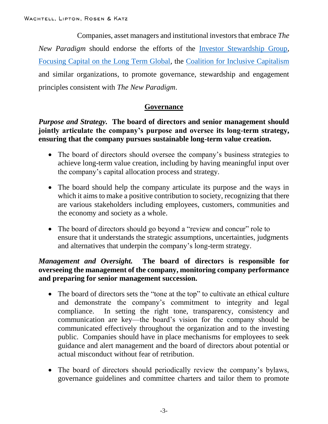Companies, asset managers and institutional investors that embrace *The New Paradigm* should endorse the efforts of the [Investor Stewardship Group,](https://isgframework.org/) [Focusing Capital on the Long Term Global,](https://www.fcltglobal.org/) the [Coalition for Inclusive Capitalism](https://www.inc-cap.com/) and similar organizations, to promote governance, stewardship and engagement principles consistent with *The New Paradigm*.

## **Governance**

## *Purpose and Strategy.* **The board of directors and senior management should jointly articulate the company's purpose and oversee its long-term strategy, ensuring that the company pursues sustainable long-term value creation.**

- The board of directors should oversee the company's business strategies to achieve long-term value creation, including by having meaningful input over the company's capital allocation process and strategy.
- The board should help the company articulate its purpose and the ways in which it aims to make a positive contribution to society, recognizing that there are various stakeholders including employees, customers, communities and the economy and society as a whole.
- The board of directors should go beyond a "review and concur" role to ensure that it understands the strategic assumptions, uncertainties, judgments and alternatives that underpin the company's long-term strategy.

## *Management and Oversight.* **The board of directors is responsible for overseeing the management of the company, monitoring company performance and preparing for senior management succession.**

- The board of directors sets the "tone at the top" to cultivate an ethical culture and demonstrate the company's commitment to integrity and legal compliance. In setting the right tone, transparency, consistency and communication are key—the board's vision for the company should be communicated effectively throughout the organization and to the investing public. Companies should have in place mechanisms for employees to seek guidance and alert management and the board of directors about potential or actual misconduct without fear of retribution.
- The board of directors should periodically review the company's bylaws, governance guidelines and committee charters and tailor them to promote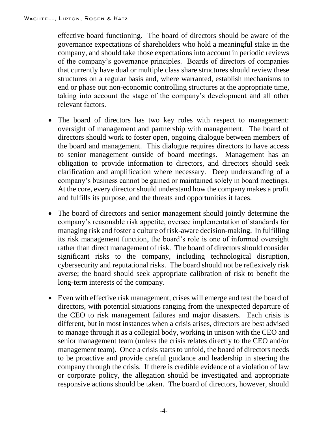effective board functioning. The board of directors should be aware of the governance expectations of shareholders who hold a meaningful stake in the company, and should take those expectations into account in periodic reviews of the company's governance principles. Boards of directors of companies that currently have dual or multiple class share structures should review these structures on a regular basis and, where warranted, establish mechanisms to end or phase out non-economic controlling structures at the appropriate time, taking into account the stage of the company's development and all other relevant factors.

- The board of directors has two key roles with respect to management: oversight of management and partnership with management. The board of directors should work to foster open, ongoing dialogue between members of the board and management. This dialogue requires directors to have access to senior management outside of board meetings. Management has an obligation to provide information to directors, and directors should seek clarification and amplification where necessary. Deep understanding of a company's business cannot be gained or maintained solely in board meetings. At the core, every director should understand how the company makes a profit and fulfills its purpose, and the threats and opportunities it faces.
- The board of directors and senior management should jointly determine the company's reasonable risk appetite, oversee implementation of standards for managing risk and foster a culture of risk-aware decision-making. In fulfilling its risk management function, the board's role is one of informed oversight rather than direct management of risk. The board of directors should consider significant risks to the company, including technological disruption, cybersecurity and reputational risks. The board should not be reflexively risk averse; the board should seek appropriate calibration of risk to benefit the long-term interests of the company.
- Even with effective risk management, crises will emerge and test the board of directors, with potential situations ranging from the unexpected departure of the CEO to risk management failures and major disasters. Each crisis is different, but in most instances when a crisis arises, directors are best advised to manage through it as a collegial body, working in unison with the CEO and senior management team (unless the crisis relates directly to the CEO and/or management team). Once a crisis starts to unfold, the board of directors needs to be proactive and provide careful guidance and leadership in steering the company through the crisis. If there is credible evidence of a violation of law or corporate policy, the allegation should be investigated and appropriate responsive actions should be taken. The board of directors, however, should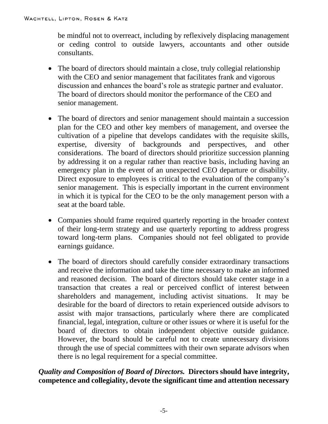be mindful not to overreact, including by reflexively displacing management or ceding control to outside lawyers, accountants and other outside consultants.

- The board of directors should maintain a close, truly collegial relationship with the CEO and senior management that facilitates frank and vigorous discussion and enhances the board's role as strategic partner and evaluator. The board of directors should monitor the performance of the CEO and senior management.
- The board of directors and senior management should maintain a succession plan for the CEO and other key members of management, and oversee the cultivation of a pipeline that develops candidates with the requisite skills, expertise, diversity of backgrounds and perspectives, and other considerations. The board of directors should prioritize succession planning by addressing it on a regular rather than reactive basis, including having an emergency plan in the event of an unexpected CEO departure or disability. Direct exposure to employees is critical to the evaluation of the company's senior management. This is especially important in the current environment in which it is typical for the CEO to be the only management person with a seat at the board table.
- Companies should frame required quarterly reporting in the broader context of their long-term strategy and use quarterly reporting to address progress toward long-term plans. Companies should not feel obligated to provide earnings guidance.
- The board of directors should carefully consider extraordinary transactions and receive the information and take the time necessary to make an informed and reasoned decision. The board of directors should take center stage in a transaction that creates a real or perceived conflict of interest between shareholders and management, including activist situations. It may be desirable for the board of directors to retain experienced outside advisors to assist with major transactions, particularly where there are complicated financial, legal, integration, culture or other issues or where it is useful for the board of directors to obtain independent objective outside guidance. However, the board should be careful not to create unnecessary divisions through the use of special committees with their own separate advisors when there is no legal requirement for a special committee.

# *Quality and Composition of Board of Directors.* **Directors should have integrity, competence and collegiality, devote the significant time and attention necessary**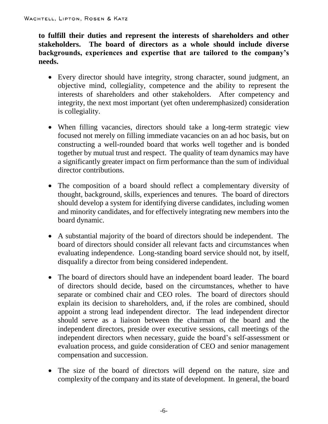**to fulfill their duties and represent the interests of shareholders and other stakeholders. The board of directors as a whole should include diverse backgrounds, experiences and expertise that are tailored to the company's needs.** 

- Every director should have integrity, strong character, sound judgment, an objective mind, collegiality, competence and the ability to represent the interests of shareholders and other stakeholders. After competency and integrity, the next most important (yet often underemphasized) consideration is collegiality.
- When filling vacancies, directors should take a long-term strategic view focused not merely on filling immediate vacancies on an ad hoc basis, but on constructing a well-rounded board that works well together and is bonded together by mutual trust and respect. The quality of team dynamics may have a significantly greater impact on firm performance than the sum of individual director contributions.
- The composition of a board should reflect a complementary diversity of thought, background, skills, experiences and tenures. The board of directors should develop a system for identifying diverse candidates, including women and minority candidates, and for effectively integrating new members into the board dynamic.
- A substantial majority of the board of directors should be independent. The board of directors should consider all relevant facts and circumstances when evaluating independence. Long-standing board service should not, by itself, disqualify a director from being considered independent.
- The board of directors should have an independent board leader. The board of directors should decide, based on the circumstances, whether to have separate or combined chair and CEO roles. The board of directors should explain its decision to shareholders, and, if the roles are combined, should appoint a strong lead independent director. The lead independent director should serve as a liaison between the chairman of the board and the independent directors, preside over executive sessions, call meetings of the independent directors when necessary, guide the board's self-assessment or evaluation process, and guide consideration of CEO and senior management compensation and succession.
- The size of the board of directors will depend on the nature, size and complexity of the company and its state of development. In general, the board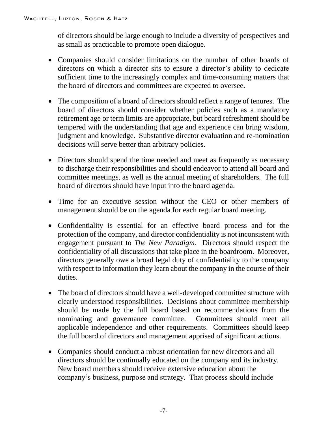of directors should be large enough to include a diversity of perspectives and as small as practicable to promote open dialogue.

- Companies should consider limitations on the number of other boards of directors on which a director sits to ensure a director's ability to dedicate sufficient time to the increasingly complex and time-consuming matters that the board of directors and committees are expected to oversee.
- The composition of a board of directors should reflect a range of tenures. The board of directors should consider whether policies such as a mandatory retirement age or term limits are appropriate, but board refreshment should be tempered with the understanding that age and experience can bring wisdom, judgment and knowledge. Substantive director evaluation and re-nomination decisions will serve better than arbitrary policies.
- Directors should spend the time needed and meet as frequently as necessary to discharge their responsibilities and should endeavor to attend all board and committee meetings, as well as the annual meeting of shareholders. The full board of directors should have input into the board agenda.
- Time for an executive session without the CEO or other members of management should be on the agenda for each regular board meeting.
- Confidentiality is essential for an effective board process and for the protection of the company, and director confidentiality is not inconsistent with engagement pursuant to *The New Paradigm*. Directors should respect the confidentiality of all discussions that take place in the boardroom. Moreover, directors generally owe a broad legal duty of confidentiality to the company with respect to information they learn about the company in the course of their duties.
- The board of directors should have a well-developed committee structure with clearly understood responsibilities. Decisions about committee membership should be made by the full board based on recommendations from the nominating and governance committee. Committees should meet all applicable independence and other requirements. Committees should keep the full board of directors and management apprised of significant actions.
- Companies should conduct a robust orientation for new directors and all directors should be continually educated on the company and its industry. New board members should receive extensive education about the company's business, purpose and strategy. That process should include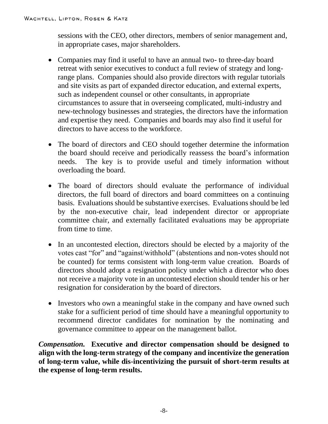sessions with the CEO, other directors, members of senior management and, in appropriate cases, major shareholders.

- Companies may find it useful to have an annual two- to three-day board retreat with senior executives to conduct a full review of strategy and longrange plans. Companies should also provide directors with regular tutorials and site visits as part of expanded director education, and external experts, such as independent counsel or other consultants, in appropriate circumstances to assure that in overseeing complicated, multi-industry and new-technology businesses and strategies, the directors have the information and expertise they need. Companies and boards may also find it useful for directors to have access to the workforce.
- The board of directors and CEO should together determine the information the board should receive and periodically reassess the board's information needs. The key is to provide useful and timely information without overloading the board.
- The board of directors should evaluate the performance of individual directors, the full board of directors and board committees on a continuing basis. Evaluations should be substantive exercises. Evaluations should be led by the non-executive chair, lead independent director or appropriate committee chair, and externally facilitated evaluations may be appropriate from time to time.
- In an uncontested election, directors should be elected by a majority of the votes cast "for" and "against/withhold" (abstentions and non-votes should not be counted) for terms consistent with long-term value creation. Boards of directors should adopt a resignation policy under which a director who does not receive a majority vote in an uncontested election should tender his or her resignation for consideration by the board of directors.
- Investors who own a meaningful stake in the company and have owned such stake for a sufficient period of time should have a meaningful opportunity to recommend director candidates for nomination by the nominating and governance committee to appear on the management ballot.

*Compensation.* **Executive and director compensation should be designed to align with the long-term strategy of the company and incentivize the generation of long-term value, while dis-incentivizing the pursuit of short-term results at the expense of long-term results.**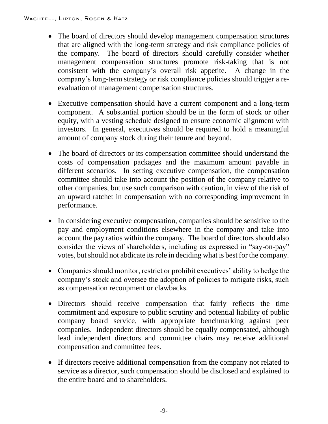- The board of directors should develop management compensation structures that are aligned with the long-term strategy and risk compliance policies of the company. The board of directors should carefully consider whether management compensation structures promote risk-taking that is not consistent with the company's overall risk appetite. A change in the company's long-term strategy or risk compliance policies should trigger a reevaluation of management compensation structures.
- Executive compensation should have a current component and a long-term component. A substantial portion should be in the form of stock or other equity, with a vesting schedule designed to ensure economic alignment with investors. In general, executives should be required to hold a meaningful amount of company stock during their tenure and beyond.
- The board of directors or its compensation committee should understand the costs of compensation packages and the maximum amount payable in different scenarios. In setting executive compensation, the compensation committee should take into account the position of the company relative to other companies, but use such comparison with caution, in view of the risk of an upward ratchet in compensation with no corresponding improvement in performance.
- In considering executive compensation, companies should be sensitive to the pay and employment conditions elsewhere in the company and take into account the pay ratios within the company. The board of directors should also consider the views of shareholders, including as expressed in "say-on-pay" votes, but should not abdicate its role in deciding what is best for the company.
- Companies should monitor, restrict or prohibit executives' ability to hedge the company's stock and oversee the adoption of policies to mitigate risks, such as compensation recoupment or clawbacks.
- Directors should receive compensation that fairly reflects the time commitment and exposure to public scrutiny and potential liability of public company board service, with appropriate benchmarking against peer companies. Independent directors should be equally compensated, although lead independent directors and committee chairs may receive additional compensation and committee fees.
- If directors receive additional compensation from the company not related to service as a director, such compensation should be disclosed and explained to the entire board and to shareholders.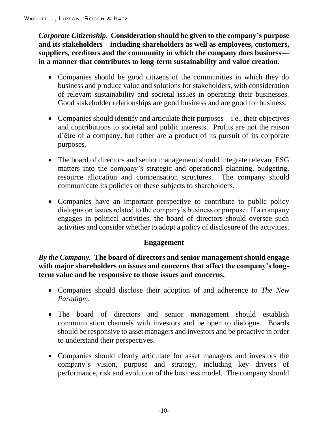*Corporate Citizenship.* **Consideration should be given to the company's purpose and its stakeholders—including shareholders as well as employees, customers, suppliers, creditors and the community in which the company does business in a manner that contributes to long-term sustainability and value creation.** 

- Companies should be good citizens of the communities in which they do business and produce value and solutions for stakeholders, with consideration of relevant sustainability and societal issues in operating their businesses. Good stakeholder relationships are good business and are good for business.
- Companies should identify and articulate their purposes—i.e., their objectives and contributions to societal and public interests. Profits are not the raison d'être of a company, but rather are a product of its pursuit of its corporate purposes.
- The board of directors and senior management should integrate relevant ESG matters into the company's strategic and operational planning, budgeting, resource allocation and compensation structures. The company should communicate its policies on these subjects to shareholders.
- Companies have an important perspective to contribute to public policy dialogue on issues related to the company's business or purpose. If a company engages in political activities, the board of directors should oversee such activities and consider whether to adopt a policy of disclosure of the activities.

# **Engagement**

*By the Company.* **The board of directors and senior management should engage with major shareholders on issues and concerns that affect the company's longterm value and be responsive to those issues and concerns.** 

- Companies should disclose their adoption of and adherence to *The New Paradigm*.
- The board of directors and senior management should establish communication channels with investors and be open to dialogue. Boards should be responsive to asset managers and investors and be proactive in order to understand their perspectives.
- Companies should clearly articulate for asset managers and investors the company's vision, purpose and strategy, including key drivers of performance, risk and evolution of the business model. The company should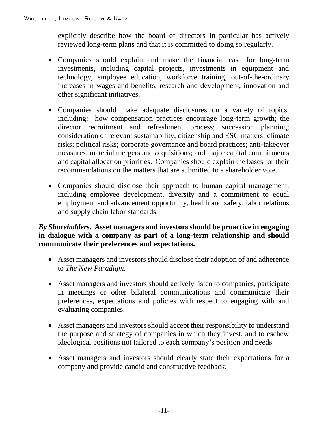explicitly describe how the board of directors in particular has actively reviewed long-term plans and that it is committed to doing so regularly.

- Companies should explain and make the financial case for long-term investments, including capital projects, investments in equipment and technology, employee education, workforce training, out-of-the-ordinary increases in wages and benefits, research and development, innovation and other significant initiatives.
- Companies should make adequate disclosures on a variety of topics, including: how compensation practices encourage long-term growth; the director recruitment and refreshment process; succession planning; consideration of relevant sustainability, citizenship and ESG matters; climate risks; political risks; corporate governance and board practices; anti-takeover measures; material mergers and acquisitions; and major capital commitments and capital allocation priorities. Companies should explain the bases for their recommendations on the matters that are submitted to a shareholder vote.
- Companies should disclose their approach to human capital management, including employee development, diversity and a commitment to equal employment and advancement opportunity, health and safety, labor relations and supply chain labor standards.

## *By Shareholders.* **Asset managers and investors should be proactive in engaging in dialogue with a company as part of a long-term relationship and should communicate their preferences and expectations.**

- Asset managers and investors should disclose their adoption of and adherence to *The New Paradigm*.
- Asset managers and investors should actively listen to companies, participate in meetings or other bilateral communications and communicate their preferences, expectations and policies with respect to engaging with and evaluating companies.
- Asset managers and investors should accept their responsibility to understand the purpose and strategy of companies in which they invest, and to eschew ideological positions not tailored to each company's position and needs.
- Asset managers and investors should clearly state their expectations for a company and provide candid and constructive feedback.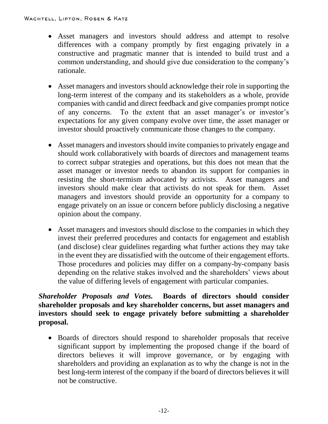- Asset managers and investors should address and attempt to resolve differences with a company promptly by first engaging privately in a constructive and pragmatic manner that is intended to build trust and a common understanding, and should give due consideration to the company's rationale.
- Asset managers and investors should acknowledge their role in supporting the long-term interest of the company and its stakeholders as a whole, provide companies with candid and direct feedback and give companies prompt notice of any concerns. To the extent that an asset manager's or investor's expectations for any given company evolve over time, the asset manager or investor should proactively communicate those changes to the company.
- Asset managers and investors should invite companies to privately engage and should work collaboratively with boards of directors and management teams to correct subpar strategies and operations, but this does not mean that the asset manager or investor needs to abandon its support for companies in resisting the short-termism advocated by activists. Asset managers and investors should make clear that activists do not speak for them. Asset managers and investors should provide an opportunity for a company to engage privately on an issue or concern before publicly disclosing a negative opinion about the company.
- Asset managers and investors should disclose to the companies in which they invest their preferred procedures and contacts for engagement and establish (and disclose) clear guidelines regarding what further actions they may take in the event they are dissatisfied with the outcome of their engagement efforts. Those procedures and policies may differ on a company-by-company basis depending on the relative stakes involved and the shareholders' views about the value of differing levels of engagement with particular companies.

# *Shareholder Proposals and Votes.* **Boards of directors should consider shareholder proposals and key shareholder concerns, but asset managers and investors should seek to engage privately before submitting a shareholder proposal.**

 Boards of directors should respond to shareholder proposals that receive significant support by implementing the proposed change if the board of directors believes it will improve governance, or by engaging with shareholders and providing an explanation as to why the change is not in the best long-term interest of the company if the board of directors believes it will not be constructive.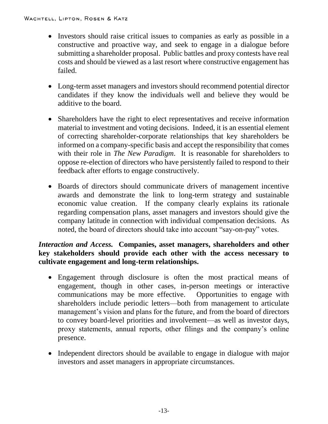- Investors should raise critical issues to companies as early as possible in a constructive and proactive way, and seek to engage in a dialogue before submitting a shareholder proposal. Public battles and proxy contests have real costs and should be viewed as a last resort where constructive engagement has failed.
- Long-term asset managers and investors should recommend potential director candidates if they know the individuals well and believe they would be additive to the board.
- Shareholders have the right to elect representatives and receive information material to investment and voting decisions. Indeed, it is an essential element of correcting shareholder-corporate relationships that key shareholders be informed on a company-specific basis and accept the responsibility that comes with their role in *The New Paradigm*. It is reasonable for shareholders to oppose re-election of directors who have persistently failed to respond to their feedback after efforts to engage constructively.
- Boards of directors should communicate drivers of management incentive awards and demonstrate the link to long-term strategy and sustainable economic value creation. If the company clearly explains its rationale regarding compensation plans, asset managers and investors should give the company latitude in connection with individual compensation decisions. As noted, the board of directors should take into account "say-on-pay" votes.

# *Interaction and Access.* **Companies, asset managers, shareholders and other key stakeholders should provide each other with the access necessary to cultivate engagement and long-term relationships.**

- Engagement through disclosure is often the most practical means of engagement, though in other cases, in-person meetings or interactive communications may be more effective. Opportunities to engage with shareholders include periodic letters—both from management to articulate management's vision and plans for the future, and from the board of directors to convey board-level priorities and involvement—as well as investor days, proxy statements, annual reports, other filings and the company's online presence.
- Independent directors should be available to engage in dialogue with major investors and asset managers in appropriate circumstances.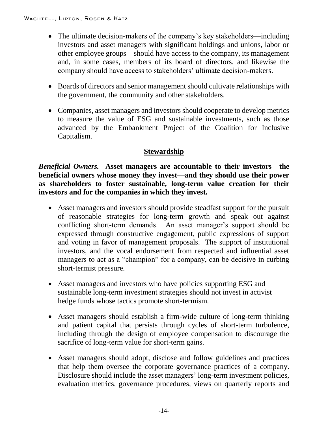- The ultimate decision-makers of the company's key stakeholders—including investors and asset managers with significant holdings and unions, labor or other employee groups—should have access to the company, its management and, in some cases, members of its board of directors, and likewise the company should have access to stakeholders' ultimate decision-makers.
- Boards of directors and senior management should cultivate relationships with the government, the community and other stakeholders.
- Companies, asset managers and investors should cooperate to develop metrics to measure the value of ESG and sustainable investments, such as those advanced by the Embankment Project of the Coalition for Inclusive Capitalism.

# **Stewardship**

*Beneficial Owners.* **Asset managers are accountable to their investors—the beneficial owners whose money they invest—and they should use their power as shareholders to foster sustainable, long-term value creation for their investors and for the companies in which they invest.** 

- Asset managers and investors should provide steadfast support for the pursuit of reasonable strategies for long-term growth and speak out against conflicting short-term demands. An asset manager's support should be expressed through constructive engagement, public expressions of support and voting in favor of management proposals. The support of institutional investors, and the vocal endorsement from respected and influential asset managers to act as a "champion" for a company, can be decisive in curbing short-termist pressure.
- Asset managers and investors who have policies supporting ESG and sustainable long-term investment strategies should not invest in activist hedge funds whose tactics promote short-termism.
- Asset managers should establish a firm-wide culture of long-term thinking and patient capital that persists through cycles of short-term turbulence, including through the design of employee compensation to discourage the sacrifice of long-term value for short-term gains.
- Asset managers should adopt, disclose and follow guidelines and practices that help them oversee the corporate governance practices of a company. Disclosure should include the asset managers' long-term investment policies, evaluation metrics, governance procedures, views on quarterly reports and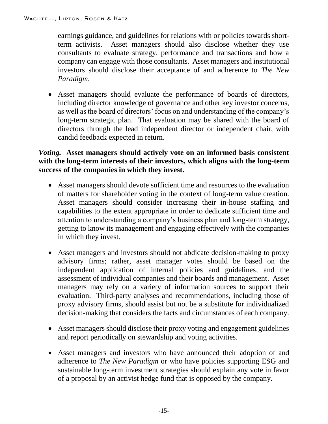earnings guidance, and guidelines for relations with or policies towards shortterm activists. Asset managers should also disclose whether they use consultants to evaluate strategy, performance and transactions and how a company can engage with those consultants. Asset managers and institutional investors should disclose their acceptance of and adherence to *The New Paradigm*.

 Asset managers should evaluate the performance of boards of directors, including director knowledge of governance and other key investor concerns, as well as the board of directors' focus on and understanding of the company's long-term strategic plan. That evaluation may be shared with the board of directors through the lead independent director or independent chair, with candid feedback expected in return.

# *Voting.* **Asset managers should actively vote on an informed basis consistent with the long-term interests of their investors, which aligns with the long-term success of the companies in which they invest.**

- Asset managers should devote sufficient time and resources to the evaluation of matters for shareholder voting in the context of long-term value creation. Asset managers should consider increasing their in-house staffing and capabilities to the extent appropriate in order to dedicate sufficient time and attention to understanding a company's business plan and long-term strategy, getting to know its management and engaging effectively with the companies in which they invest.
- Asset managers and investors should not abdicate decision-making to proxy advisory firms; rather, asset manager votes should be based on the independent application of internal policies and guidelines, and the assessment of individual companies and their boards and management. Asset managers may rely on a variety of information sources to support their evaluation. Third-party analyses and recommendations, including those of proxy advisory firms, should assist but not be a substitute for individualized decision-making that considers the facts and circumstances of each company.
- Asset managers should disclose their proxy voting and engagement guidelines and report periodically on stewardship and voting activities.
- Asset managers and investors who have announced their adoption of and adherence to *The New Paradigm* or who have policies supporting ESG and sustainable long-term investment strategies should explain any vote in favor of a proposal by an activist hedge fund that is opposed by the company.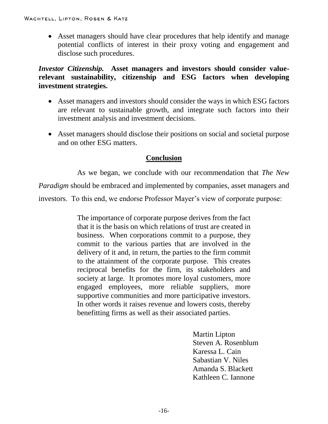Asset managers should have clear procedures that help identify and manage potential conflicts of interest in their proxy voting and engagement and disclose such procedures.

*Investor Citizenship.* **Asset managers and investors should consider valuerelevant sustainability, citizenship and ESG factors when developing investment strategies.**

- Asset managers and investors should consider the ways in which ESG factors are relevant to sustainable growth, and integrate such factors into their investment analysis and investment decisions.
- Asset managers should disclose their positions on social and societal purpose and on other ESG matters.

## **Conclusion**

As we began, we conclude with our recommendation that *The New* 

*Paradigm* should be embraced and implemented by companies, asset managers and

investors. To this end, we endorse Professor Mayer's view of corporate purpose:

The importance of corporate purpose derives from the fact that it is the basis on which relations of trust are created in business. When corporations commit to a purpose, they commit to the various parties that are involved in the delivery of it and, in return, the parties to the firm commit to the attainment of the corporate purpose. This creates reciprocal benefits for the firm, its stakeholders and society at large. It promotes more loyal customers, more engaged employees, more reliable suppliers, more supportive communities and more participative investors. In other words it raises revenue and lowers costs, thereby benefitting firms as well as their associated parties.

> Martin Lipton Steven A. Rosenblum Karessa L. Cain Sabastian V. Niles Amanda S. Blackett Kathleen C. Iannone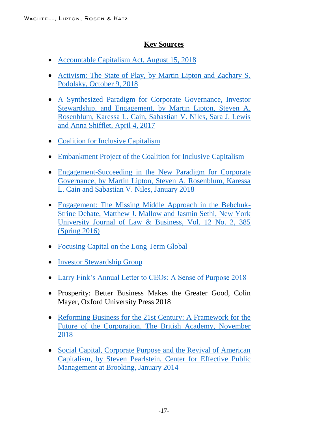## **Key Sources**

- [Accountable Capitalism Act, August 15, 2018](https://www.warren.senate.gov/imo/media/doc/Accountable%20Capitalism%20Act.pdf)
- Activism: The State of Play, by Martin Lipton and Zachary S. [Podolsky, October 9, 2018](http://www.wlrk.com/webdocs/wlrknew/WLRKMemos/WLRK/WLRK.26221.18.pdf)
- A Synthesized [Paradigm for Corporate Governance, Investor](http://www.wlrk.com/webdocs/wlrknew/WLRKMemos/WLRK/WLRK.25546.17.pdf)  [Stewardship, and Engagement, by Martin Lipton, Steven A.](http://www.wlrk.com/webdocs/wlrknew/WLRKMemos/WLRK/WLRK.25546.17.pdf)  [Rosenblum, Karessa L. Cain, Sabastian V. Niles, Sara J. Lewis](http://www.wlrk.com/webdocs/wlrknew/WLRKMemos/WLRK/WLRK.25546.17.pdf)  [and Anna Shifflet, April 4, 2017](http://www.wlrk.com/webdocs/wlrknew/WLRKMemos/WLRK/WLRK.25546.17.pdf)
- [Coalition for Inclusive Capitalism](https://www.inc-cap.com/)
- [Embankment Project of the Coalition for Inclusive Capitalism](https://www.epic-value.com/)
- [Engagement-Succeeding in the New Paradigm for Corporate](http://www.wlrk.com/webdocs/wlrknew/WLRKMemos/WLRK/WLRK.25867.18.pdf)  [Governance, by Martin Lipton, Steven A. Rosenblum, Karessa](http://www.wlrk.com/webdocs/wlrknew/WLRKMemos/WLRK/WLRK.25867.18.pdf)  [L. Cain and Sabastian V. Niles, January 2018](http://www.wlrk.com/webdocs/wlrknew/WLRKMemos/WLRK/WLRK.25867.18.pdf)
- [Engagement: The Missing Middle Approach in the Bebchuk-](https://www.blackrock.com/corporate/literature/publication/mallow-sethi-engagement-missing-middle-approach-may-2016.pdf)[Strine Debate, Matthew J. Mallow and Jasmin Sethi, New York](https://www.blackrock.com/corporate/literature/publication/mallow-sethi-engagement-missing-middle-approach-may-2016.pdf)  [University Journal of Law & Business, Vol. 12 No. 2, 385](https://www.blackrock.com/corporate/literature/publication/mallow-sethi-engagement-missing-middle-approach-may-2016.pdf)  [\(Spring 2016\)](https://www.blackrock.com/corporate/literature/publication/mallow-sethi-engagement-missing-middle-approach-may-2016.pdf)
- [Focusing Capital on the Long Term Global](https://www.fcltglobal.org/)
- [Investor Stewardship Group](https://isgframework.org/)
- [Larry Fink's Annual Letter to CEOs: A Sense of Purpose 2018](https://www.blackrock.com/corporate/investor-relations/larry-fink-ceo-letter)
- Prosperity: Better Business Makes the Greater Good, Colin Mayer, Oxford University Press 2018
- Reforming Business for the 21st Century: A Framework for the [Future of the Corporation, The British Academy, November](https://www.thebritishacademy.ac.uk/sites/default/files/Reforming-Business-for-21st-Century-British-Academy.pdf)  [2018](https://www.thebritishacademy.ac.uk/sites/default/files/Reforming-Business-for-21st-Century-British-Academy.pdf)
- Social Capital, Corporate Purpose and the Revival of American [Capitalism, by Steven Pearlstein, Center for Effective Public](https://www.brookings.edu/wp-content/uploads/2016/06/BrookingsPearlsteinv5_Revised-Feb-2014.pdf)  [Management at Brooking, January 2014](https://www.brookings.edu/wp-content/uploads/2016/06/BrookingsPearlsteinv5_Revised-Feb-2014.pdf)